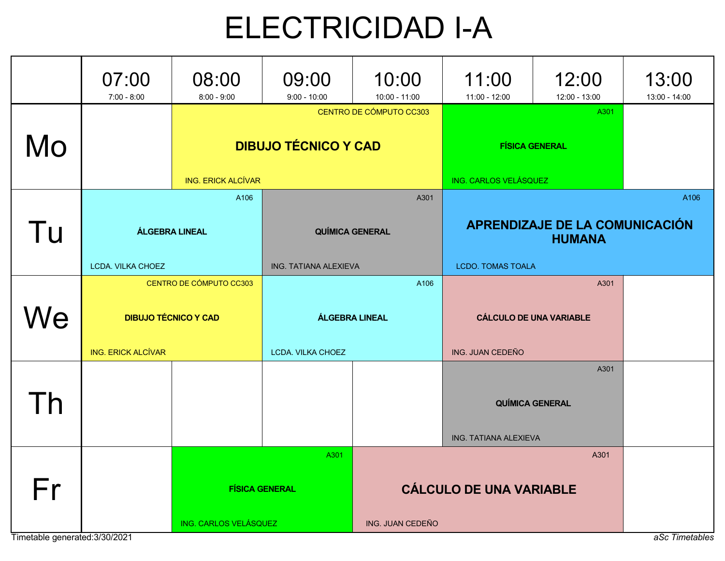## ELECTRICIDAD I-A

|                                | 07:00<br>$7:00 - 8:00$                          | 08:00<br>$8:00 - 9:00$                                                      | 09:00<br>$9:00 - 10:00$       | 10:00<br>$10:00 - 11:00$                        | 11:00<br>11:00 - 12:00                                     | 12:00<br>12:00 - 13:00         | 13:00<br>13:00 - 14:00 |
|--------------------------------|-------------------------------------------------|-----------------------------------------------------------------------------|-------------------------------|-------------------------------------------------|------------------------------------------------------------|--------------------------------|------------------------|
| Mo                             |                                                 | CENTRO DE CÓMPUTO CC303<br><b>DIBUJO TÉCNICO Y CAD</b>                      |                               |                                                 |                                                            | A301<br><b>FÍSICA GENERAL</b>  |                        |
|                                |                                                 | <b>ING. ERICK ALCÍVAR</b><br>A106                                           | ING. CARLOS VELÁSQUEZ<br>A301 |                                                 |                                                            |                                | A106                   |
| Tu                             | <b>QUÍMICA GENERAL</b><br><b>ÁLGEBRA LINEAL</b> |                                                                             |                               | APRENDIZAJE DE LA COMUNICACIÓN<br><b>HUMANA</b> |                                                            |                                |                        |
|                                | LCDA. VILKA CHOEZ                               |                                                                             | <b>ING. TATIANA ALEXIEVA</b>  |                                                 | <b>LCDO. TOMAS TOALA</b>                                   |                                |                        |
| We                             | <b>ING. ERICK ALCÍVAR</b>                       | CENTRO DE CÓMPUTO CC303<br><b>DIBUJO TÉCNICO Y CAD</b><br>LCDA. VILKA CHOEZ |                               | A106<br><b>ÁLGEBRA LINEAL</b>                   | A301<br><b>CÁLCULO DE UNA VARIABLE</b><br>ING. JUAN CEDEÑO |                                |                        |
| Γh                             |                                                 |                                                                             |                               |                                                 | ING. TATIANA ALEXIEVA                                      | A301<br><b>QUÍMICA GENERAL</b> |                        |
| Fr                             |                                                 | A301<br><b>FÍSICA GENERAL</b>                                               |                               | A301<br><b>CÁLCULO DE UNA VARIABLE</b>          |                                                            |                                |                        |
| Timetable generated: 3/30/2021 |                                                 | ING. CARLOS VELÁSQUEZ                                                       |                               | ING. JUAN CEDEÑO                                |                                                            |                                | aSc Timetables         |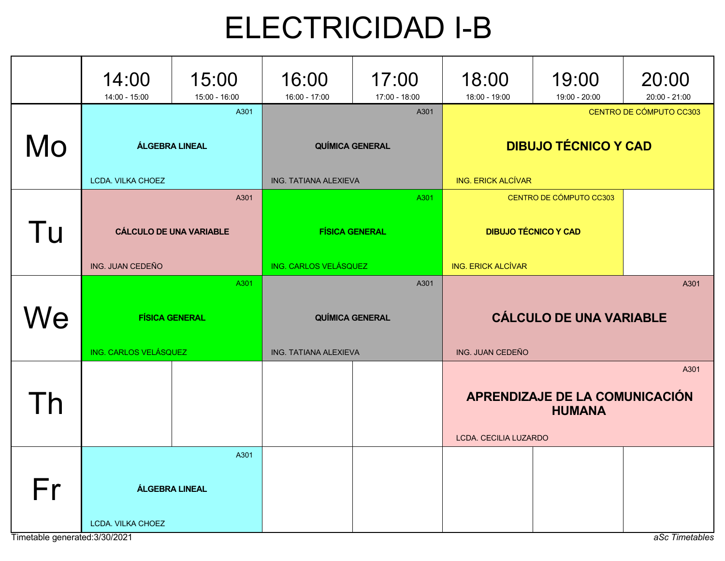## ELECTRICIDAD I-B

|    | 14:00<br>14:00 - 15:00                                     | 15:00<br>15:00 - 16:00 | 16:00<br>16:00 - 17:00 | 17:00<br>17:00 - 18:00         | 18:00<br>18:00 - 19:00                                                              | 19:00<br>19:00 - 20:00                          | 20:00<br>$20:00 - 21:00$ |
|----|------------------------------------------------------------|------------------------|------------------------|--------------------------------|-------------------------------------------------------------------------------------|-------------------------------------------------|--------------------------|
| Mo | A301<br>ÁLGEBRA LINEAL<br>LCDA. VILKA CHOEZ                |                        | ING. TATIANA ALEXIEVA  | A301<br><b>QUÍMICA GENERAL</b> | CENTRO DE CÓMPUTO CC303<br><b>DIBUJO TÉCNICO Y CAD</b><br><b>ING. ERICK ALCÍVAR</b> |                                                 |                          |
| Tu | A301<br><b>CÁLCULO DE UNA VARIABLE</b><br>ING. JUAN CEDEÑO |                        | ING. CARLOS VELÁSQUEZ  | A301<br><b>FÍSICA GENERAL</b>  | CENTRO DE CÓMPUTO CC303<br><b>DIBUJO TÉCNICO Y CAD</b><br><b>ING. ERICK ALCÍVAR</b> |                                                 |                          |
| Ve | A301<br><b>FÍSICA GENERAL</b><br>ING. CARLOS VELÁSQUEZ     |                        | ING. TATIANA ALEXIEVA  | A301<br><b>QUÍMICA GENERAL</b> | <b>CÁLCULO DE UNA VARIABLE</b><br>ING. JUAN CEDEÑO                                  |                                                 | A301                     |
| h  |                                                            |                        |                        |                                | LCDA. CECILIA LUZARDO                                                               | APRENDIZAJE DE LA COMUNICACIÓN<br><b>HUMANA</b> | A301                     |
| Fr | LCDA. VILKA CHOEZ                                          | A301<br>ÁLGEBRA LINEAL |                        |                                |                                                                                     |                                                 |                          |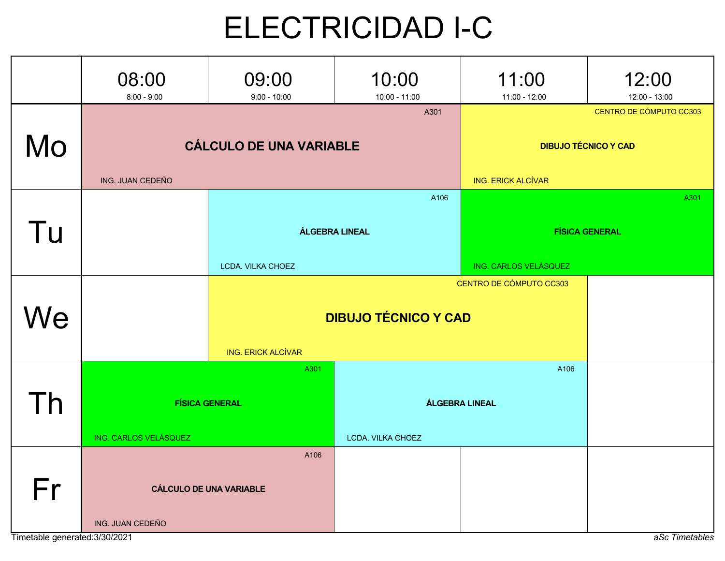## ELECTRICIDAD I-C

|                                      | 08:00<br>$8:00 - 9:00$ | 09:00<br>$9:00 - 10:00$                | 10:00<br>10:00 - 11:00                     | 11:00<br>11:00 - 12:00                                 | 12:00<br>12:00 - 13:00 |  |
|--------------------------------------|------------------------|----------------------------------------|--------------------------------------------|--------------------------------------------------------|------------------------|--|
| Mo                                   | ING. JUAN CEDEÑO       | <b>CÁLCULO DE UNA VARIABLE</b>         | <b>ING. ERICK ALCÍVAR</b>                  | CENTRO DE CÓMPUTO CC303<br><b>DIBUJO TÉCNICO Y CAD</b> |                        |  |
| Tu                                   |                        | LCDA. VILKA CHOEZ                      | A106<br><b>ÁLGEBRA LINEAL</b>              | A301<br><b>FÍSICA GENERAL</b><br>ING. CARLOS VELÁSQUEZ |                        |  |
| Ve                                   |                        | <b>ING. ERICK ALCÍVAR</b>              | <b>DIBUJO TÉCNICO Y CAD</b>                | CENTRO DE CÓMPUTO CC303                                |                        |  |
| Īh                                   | ING. CARLOS VELÁSQUEZ  | A301<br><b>FÍSICA GENERAL</b>          | <b>ÁLGEBRA LINEAL</b><br>LCDA. VILKA CHOEZ |                                                        |                        |  |
| Fr<br>Timetable generated: 3/30/2021 | ING. JUAN CEDEÑO       | A106<br><b>CÁLCULO DE UNA VARIABLE</b> |                                            |                                                        | aSc Timetables         |  |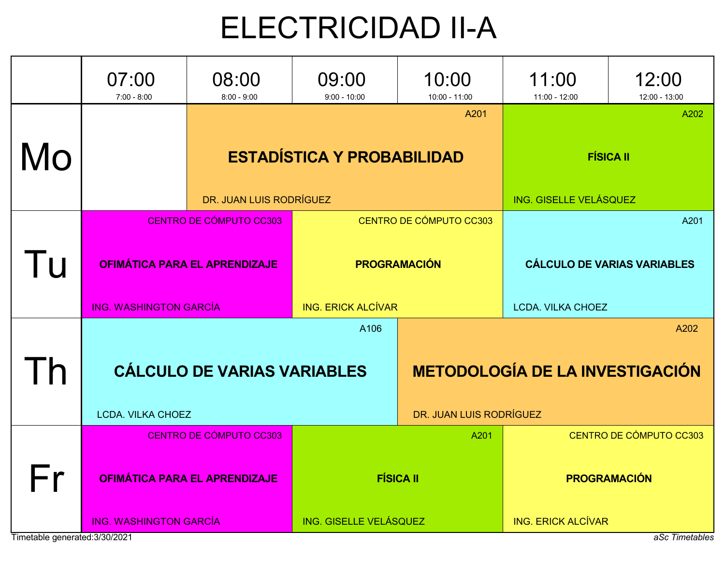## ELECTRICIDAD II-A

|                                | 07:00<br>$7:00 - 8:00$                                                 | 08:00<br>$8:00 - 9:00$                                          | 09:00<br>$9:00 - 10:00$   | 10:00<br>10:00 - 11:00                         | 11:00<br>11:00 - 12:00                                                 | 12:00<br>12:00 - 13:00 |  |  |
|--------------------------------|------------------------------------------------------------------------|-----------------------------------------------------------------|---------------------------|------------------------------------------------|------------------------------------------------------------------------|------------------------|--|--|
| Mo                             |                                                                        | <b>ESTADÍSTICA Y PROBABILIDAD</b><br>DR. JUAN LUIS RODRÍGUEZ    | ING. GISELLE VELÁSQUEZ    | A202<br><b>FÍSICA II</b>                       |                                                                        |                        |  |  |
| Tu                             | <b>ING. WASHINGTON GARCÍA</b>                                          | CENTRO DE CÓMPUTO CC303<br><b>OFIMÁTICA PARA EL APRENDIZAJE</b> | <b>ING. ERICK ALCÍVAR</b> | CENTRO DE CÓMPUTO CC303<br><b>PROGRAMACIÓN</b> | A201<br><b>CÁLCULO DE VARIAS VARIABLES</b><br><b>LCDA. VILKA CHOEZ</b> |                        |  |  |
| $\mathsf{I}$                   | A106<br><b>CÁLCULO DE VARIAS VARIABLES</b><br><b>LCDA. VILKA CHOEZ</b> |                                                                 |                           | DR. JUAN LUIS RODRÍGUEZ                        | A202<br><b>METODOLOGÍA DE LA INVESTIGACIÓN</b>                         |                        |  |  |
| - r                            |                                                                        | CENTRO DE CÓMPUTO CC303<br><b>OFIMÁTICA PARA EL APRENDIZAJE</b> |                           | A201<br><b>FÍSICA II</b>                       | CENTRO DE CÓMPUTO CC303<br><b>PROGRAMACIÓN</b>                         |                        |  |  |
| Timetable generated: 3/30/2021 | <b>ING. WASHINGTON GARCÍA</b>                                          |                                                                 | ING. GISELLE VELÁSQUEZ    |                                                | <b>ING. ERICK ALCÍVAR</b>                                              | aSc Timetables         |  |  |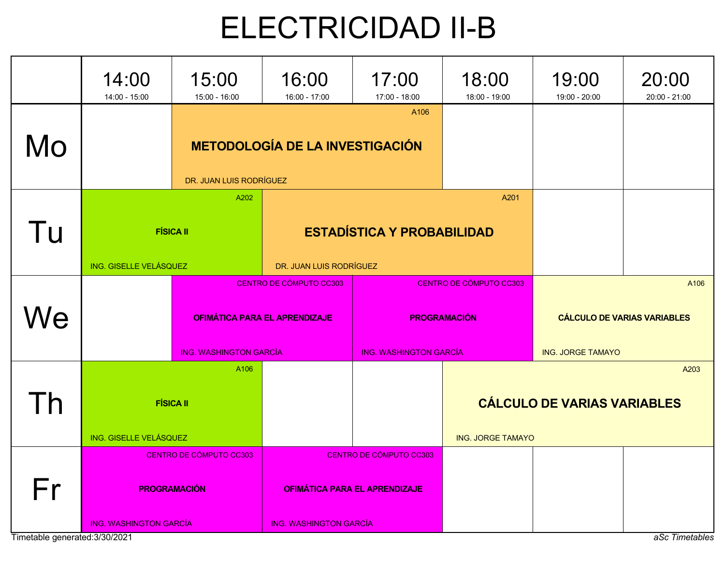## ELECTRICIDAD II-B

|    | 14:00<br>14:00 - 15:00                                                          | 15:00<br>$15:00 - 16:00$      | 16:00<br>16:00 - 17:00                                                                           | 17:00<br>17:00 - 18:00                                                          | 18:00<br>18:00 - 19:00   | 19:00<br>19:00 - 20:00                                                 | 20:00<br>$20:00 - 21:00$ |
|----|---------------------------------------------------------------------------------|-------------------------------|--------------------------------------------------------------------------------------------------|---------------------------------------------------------------------------------|--------------------------|------------------------------------------------------------------------|--------------------------|
| Mo |                                                                                 | DR. JUAN LUIS RODRÍGUEZ       | <b>METODOLOGÍA DE LA INVESTIGACIÓN</b>                                                           | A <sub>106</sub>                                                                |                          |                                                                        |                          |
| Tu | ING. GISELLE VELÁSQUEZ                                                          | A202<br><b>FÍSICA II</b>      | DR. JUAN LUIS RODRÍGUEZ                                                                          | <b>ESTADÍSTICA Y PROBABILIDAD</b>                                               | A201                     |                                                                        |                          |
| We |                                                                                 | <b>ING. WASHINGTON GARCÍA</b> | CENTRO DE CÓMPUTO CC303<br><b>OFIMÁTICA PARA EL APRENDIZAJE</b>                                  | CENTRO DE CÓMPUTO CC303<br><b>PROGRAMACIÓN</b><br><b>ING. WASHINGTON GARCÍA</b> |                          | A106<br><b>CÁLCULO DE VARIAS VARIABLES</b><br><b>ING. JORGE TAMAYO</b> |                          |
| Th | A106<br><b>FÍSICA II</b><br>ING. GISELLE VELÁSQUEZ                              |                               |                                                                                                  |                                                                                 | <b>ING. JORGE TAMAYO</b> | <b>CÁLCULO DE VARIAS VARIABLES</b>                                     | A203                     |
| Fr | CENTRO DE CÓMPUTO CC303<br><b>PROGRAMACIÓN</b><br><b>ING. WASHINGTON GARCÍA</b> |                               | CENTRO DE CÓMPUTO CC303<br><b>OFIMÁTICA PARA EL APRENDIZAJE</b><br><b>ING. WASHINGTON GARCÍA</b> |                                                                                 |                          |                                                                        |                          |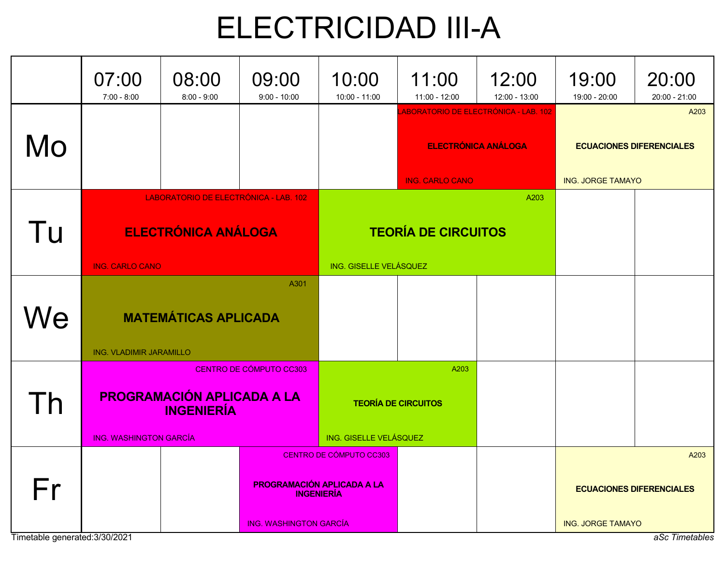### ELECTRICIDAD III-A

|                                | 07:00<br>$7:00 - 8:00$                                                            | 08:00<br>$8:00 - 9:00$                | 09:00<br>$9:00 - 10:00$       | 10:00<br>10:00 - 11:00                                                                       | 11:00<br>11:00 - 12:00             | 12:00<br>12:00 - 13:00                                              | 19:00<br>19:00 - 20:00   | 20:00<br>20:00 - 21:00          |
|--------------------------------|-----------------------------------------------------------------------------------|---------------------------------------|-------------------------------|----------------------------------------------------------------------------------------------|------------------------------------|---------------------------------------------------------------------|--------------------------|---------------------------------|
| Mo                             |                                                                                   |                                       |                               | ABORATORIO DE ELECTRÓNICA - LAB. 102<br><b>ELECTRÓNICA ANÁLOGA</b><br><b>ING. CARLO CANO</b> |                                    | A203<br><b>ECUACIONES DIFERENCIALES</b><br><b>ING. JORGE TAMAYO</b> |                          |                                 |
|                                |                                                                                   | LABORATORIO DE ELECTRÓNICA - LAB. 102 |                               |                                                                                              |                                    | A203                                                                |                          |                                 |
| Tu                             | <b>ELECTRÓNICA ANÁLOGA</b>                                                        |                                       |                               |                                                                                              | <b>TEORÍA DE CIRCUITOS</b>         |                                                                     |                          |                                 |
|                                | <b>ING. CARLO CANO</b>                                                            |                                       |                               | ING. GISELLE VELÁSQUEZ                                                                       |                                    |                                                                     |                          |                                 |
| We                             | A301<br><b>MATEMÁTICAS APLICADA</b><br><b>ING. VLADIMIR JARAMILLO</b>             |                                       |                               |                                                                                              |                                    |                                                                     |                          |                                 |
| Γh                             | CENTRO DE CÓMPUTO CC303<br><b>PROGRAMACIÓN APLICADA A LA</b><br><b>INGENIERÍA</b> |                                       |                               | ING. GISELLE VELÁSQUEZ                                                                       | A203<br><b>TEORÍA DE CIRCUITOS</b> |                                                                     |                          |                                 |
|                                | <b>ING. WASHINGTON GARCÍA</b>                                                     |                                       |                               | CENTRO DE CÓMPUTO CC303                                                                      |                                    |                                                                     |                          | A203                            |
| Fr                             |                                                                                   |                                       |                               | <b>PROGRAMACIÓN APLICADA A LA</b><br><b>INGENIERÍA</b>                                       |                                    |                                                                     |                          | <b>ECUACIONES DIFERENCIALES</b> |
| Timetable generated: 3/30/2021 |                                                                                   |                                       | <b>ING. WASHINGTON GARCÍA</b> |                                                                                              |                                    |                                                                     | <b>ING. JORGE TAMAYO</b> | aSc Timetables                  |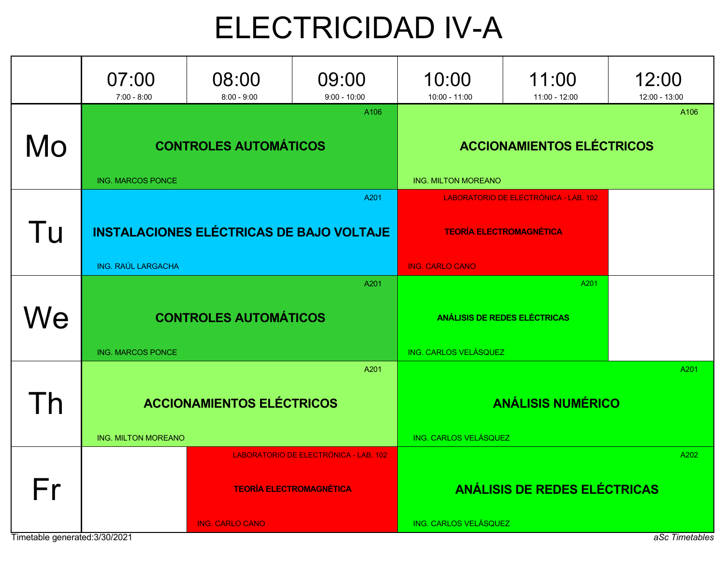### ELECTRICIDAD IV-A

|                                      | 07:00<br>$7:00 - 8:00$     | 08:00<br>$8:00 - 9:00$                          | 09:00<br>$9:00 - 10:00$                                                 | 10:00<br>10:00 - 11:00                                                                            | 11:00<br>11:00 - 12:00                      | 12:00<br>12:00 - 13:00 |  |
|--------------------------------------|----------------------------|-------------------------------------------------|-------------------------------------------------------------------------|---------------------------------------------------------------------------------------------------|---------------------------------------------|------------------------|--|
| Mo                                   | <b>ING. MARCOS PONCE</b>   | <b>CONTROLES AUTOMÁTICOS</b>                    | A106                                                                    | A106<br><b>ACCIONAMIENTOS ELÉCTRICOS</b><br><b>ING. MILTON MOREANO</b>                            |                                             |                        |  |
| Tu                                   | <b>ING. RAÚL LARGACHA</b>  | <b>INSTALACIONES ELÉCTRICAS DE BAJO VOLTAJE</b> | A201                                                                    | LABORATORIO DE ELECTRÓNICA - LAB. 102<br><b>TEORÍA ELECTROMAGNÉTICA</b><br><b>ING. CARLO CANO</b> |                                             |                        |  |
| Ve                                   | <b>ING. MARCOS PONCE</b>   | <b>CONTROLES AUTOMÁTICOS</b>                    | A201                                                                    | ING. CARLOS VELÁSQUEZ                                                                             | A201<br><b>ANÁLISIS DE REDES ELÉCTRICAS</b> |                        |  |
| h                                    | <b>ING. MILTON MOREANO</b> | <b>ACCIONAMIENTOS ELÉCTRICOS</b>                | A201                                                                    | A201<br><b>ANÁLISIS NUMÉRICO</b><br>ING. CARLOS VELÁSQUEZ                                         |                                             |                        |  |
| Fr<br>Timetable generated: 3/30/2021 |                            | <b>ING. CARLO CANO</b>                          | LABORATORIO DE ELECTRÓNICA - LAB. 102<br><b>TEORÍA ELECTROMAGNÉTICA</b> | ING. CARLOS VELÁSQUEZ                                                                             | ANÁLISIS DE REDES ELÉCTRICAS                | A202<br>aSc Timetables |  |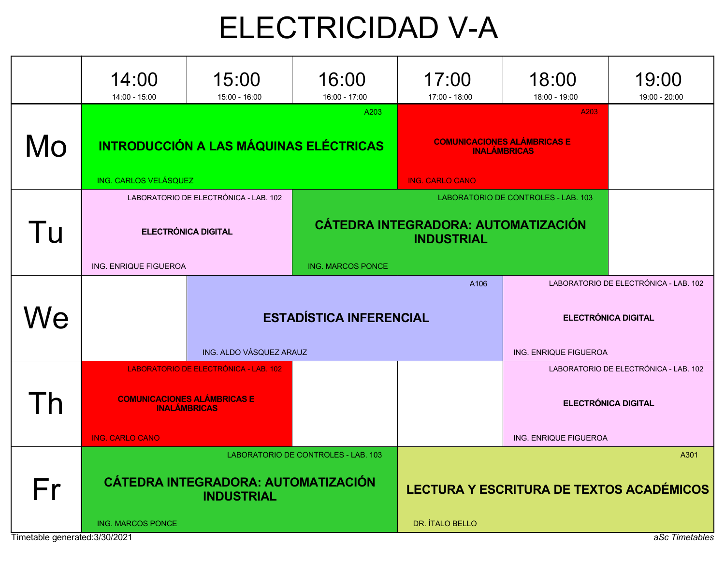## ELECTRICIDAD V-A

|    | 14:00<br>14:00 - 15:00                                                                                                       | 15:00<br>15:00 - 16:00                        | 16:00<br>16:00 - 17:00         | 17:00<br>17:00 - 18:00                                                                                 | 18:00<br>18:00 - 19:00                                                                       | 19:00<br>19:00 - 20:00 |  |
|----|------------------------------------------------------------------------------------------------------------------------------|-----------------------------------------------|--------------------------------|--------------------------------------------------------------------------------------------------------|----------------------------------------------------------------------------------------------|------------------------|--|
| Mo | ING. CARLOS VELÁSQUEZ                                                                                                        | <b>INTRODUCCIÓN A LAS MÁQUINAS ELÉCTRICAS</b> | A203                           | A203<br><b>COMUNICACIONES ALÁMBRICAS E</b><br><b>INALÁMBRICAS</b><br><b>ING. CARLO CANO</b>            |                                                                                              |                        |  |
| Tu | LABORATORIO DE ELECTRÓNICA - LAB. 102<br><b>ELECTRÓNICA DIGITAL</b><br>ING. ENRIQUE FIGUEROA<br><b>ING. MARCOS PONCE</b>     |                                               |                                | LABORATORIO DE CONTROLES - LAB. 103<br><b>CÁTEDRA INTEGRADORA: AUTOMATIZACIÓN</b><br><b>INDUSTRIAL</b> |                                                                                              |                        |  |
| Ve |                                                                                                                              | ING. ALDO VÁSQUEZ ARAUZ                       | <b>ESTADÍSTICA INFERENCIAL</b> | A106                                                                                                   | LABORATORIO DE ELECTRÓNICA - LAB. 102<br><b>ELECTRÓNICA DIGITAL</b><br>ING. ENRIQUE FIGUEROA |                        |  |
| h  | LABORATORIO DE ELECTRÓNICA - LAB. 102<br><b>COMUNICACIONES ALÁMBRICAS E</b><br><b>INALAMBRICAS</b><br><b>ING. CARLO CANO</b> |                                               |                                |                                                                                                        | LABORATORIO DE ELECTRÓNICA - LAB. 102<br><b>ELECTRÓNICA DIGITAL</b><br>ING. ENRIQUE FIGUEROA |                        |  |
| Fr | LABORATORIO DE CONTROLES - LAB. 103<br>CÁTEDRA INTEGRADORA: AUTOMATIZACIÓN<br><b>INDUSTRIAL</b><br><b>ING. MARCOS PONCE</b>  |                                               |                                | A301<br><b>LECTURA Y ESCRITURA DE TEXTOS ACADÉMICOS</b><br>DR. ÍTALO BELLO                             |                                                                                              |                        |  |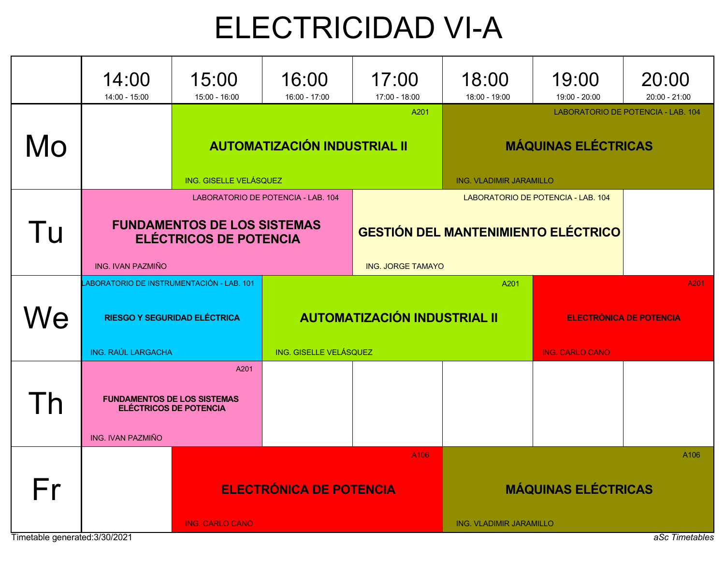## ELECTRICIDAD VI-A

|                                     | 14:00<br>14:00 - 15:00                                                | 15:00<br>15:00 - 16:00                                                                                                                                                                                                    | 16:00<br>16:00 - 17:00 | 17:00<br>17:00 - 18:00                      | 18:00<br>18:00 - 19:00                                                                             | 19:00<br>19:00 - 20:00                                           | 20:00<br>20:00 - 21:00 |  |
|-------------------------------------|-----------------------------------------------------------------------|---------------------------------------------------------------------------------------------------------------------------------------------------------------------------------------------------------------------------|------------------------|---------------------------------------------|----------------------------------------------------------------------------------------------------|------------------------------------------------------------------|------------------------|--|
| Mo                                  | <b>AUTOMATIZACIÓN INDUSTRIAL II</b><br>ING. GISELLE VELÁSQUEZ         |                                                                                                                                                                                                                           |                        | A201                                        | LABORATORIO DE POTENCIA - LAB. 104<br><b>MÁQUINAS ELÉCTRICAS</b><br><b>ING. VLADIMIR JARAMILLO</b> |                                                                  |                        |  |
| Tu                                  | ING. IVAN PAZMIÑO                                                     | LABORATORIO DE POTENCIA - LAB. 104<br>LABORATORIO DE POTENCIA - LAB. 104<br><b>FUNDAMENTOS DE LOS SISTEMAS</b><br><b>GESTIÓN DEL MANTENIMIENTO ELÉCTRICO</b><br><b>ELÉCTRICOS DE POTENCIA</b><br><b>ING. JORGE TAMAYO</b> |                        |                                             |                                                                                                    |                                                                  |                        |  |
| Ne                                  | ABORATORIO DE INSTRUMENTACIÓN - LAB. 101<br><b>ING. RAÚL LARGACHA</b> | <b>RIESGO Y SEGURIDAD ELÉCTRICA</b>                                                                                                                                                                                       | ING. GISELLE VELÁSQUEZ | A201<br><b>AUTOMATIZACIÓN INDUSTRIAL II</b> |                                                                                                    | A201<br><b>ELECTRÓNICA DE POTENCIA</b><br><b>ING. CARLO CANO</b> |                        |  |
|                                     | <b>FUNDAMENTOS DE LOS SISTEMAS</b><br>ING. IVAN PAZMIÑO               | A201<br><b>ELÉCTRICOS DE POTENCIA</b>                                                                                                                                                                                     |                        |                                             |                                                                                                    |                                                                  |                        |  |
| Fr<br>Timetable generated:3/30/2021 | <b>ELECTRÓNICA DE POTENCIA</b><br><b>ING. CARLO CANO</b>              |                                                                                                                                                                                                                           |                        | A106                                        | A106<br><b>MÁQUINAS ELÉCTRICAS</b><br>ING. VLADIMIR JARAMILLO<br>aSc Timetables                    |                                                                  |                        |  |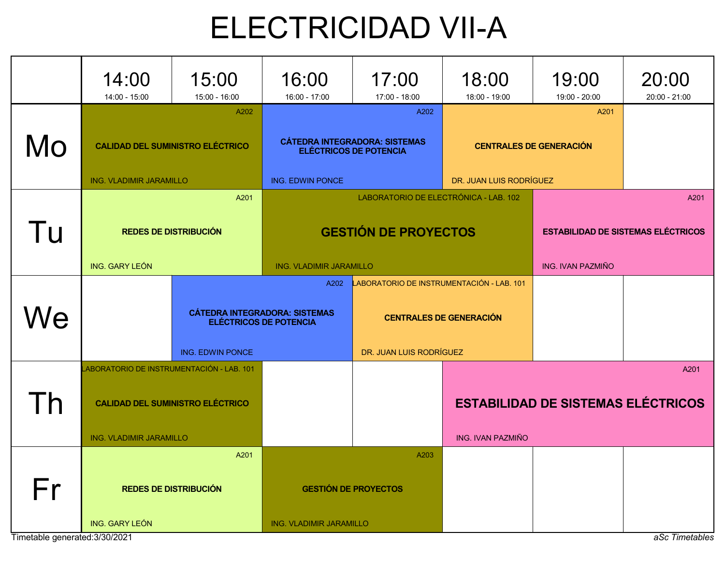### ELECTRICIDAD VII-A

|                                | 14:00<br>14:00 - 15:00                    | 15:00<br>15:00 - 16:00                                                | 16:00<br>16:00 - 17:00                                                | 17:00<br>17:00 - 18:00                | 18:00<br>18:00 - 19:00                    | 19:00<br>19:00 - 20:00                    | 20:00<br>$20:00 - 21:00$ |
|--------------------------------|-------------------------------------------|-----------------------------------------------------------------------|-----------------------------------------------------------------------|---------------------------------------|-------------------------------------------|-------------------------------------------|--------------------------|
|                                |                                           | A202                                                                  |                                                                       | A202                                  |                                           | A201                                      |                          |
| Mo                             | <b>CALIDAD DEL SUMINISTRO ELÉCTRICO</b>   |                                                                       | <b>CÁTEDRA INTEGRADORA: SISTEMAS</b><br><b>ELÉCTRICOS DE POTENCIA</b> |                                       |                                           | <b>CENTRALES DE GENERACIÓN</b>            |                          |
|                                | <b>ING. VLADIMIR JARAMILLO</b>            | A201                                                                  | ING. EDWIN PONCE                                                      | LABORATORIO DE ELECTRÓNICA - LAB. 102 | DR. JUAN LUIS RODRÍGUEZ                   |                                           | A201                     |
| Tu                             |                                           | <b>REDES DE DISTRIBUCIÓN</b>                                          |                                                                       | <b>GESTIÓN DE PROYECTOS</b>           |                                           | <b>ESTABILIDAD DE SISTEMAS ELÉCTRICOS</b> |                          |
|                                | ING. GARY LEÓN                            |                                                                       | <b>ING. VLADIMIR JARAMILLO</b>                                        |                                       |                                           | <b>ING. IVAN PAZMIÑO</b>                  |                          |
|                                |                                           |                                                                       | A202                                                                  |                                       | LABORATORIO DE INSTRUMENTACIÓN - LAB. 101 |                                           |                          |
| Ve                             |                                           | <b>CÁTEDRA INTEGRADORA: SISTEMAS</b><br><b>ELÉCTRICOS DE POTENCIA</b> |                                                                       | <b>CENTRALES DE GENERACIÓN</b>        |                                           |                                           |                          |
|                                |                                           | ING. EDWIN PONCE                                                      |                                                                       | DR. JUAN LUIS RODRÍGUEZ               |                                           |                                           |                          |
|                                | LABORATORIO DE INSTRUMENTACIÓN - LAB. 101 |                                                                       |                                                                       |                                       |                                           |                                           | A201                     |
| h                              |                                           | <b>CALIDAD DEL SUMINISTRO ELÉCTRICO</b>                               |                                                                       |                                       |                                           | <b>ESTABILIDAD DE SISTEMAS ELÉCTRICOS</b> |                          |
|                                | ING. VLADIMIR JARAMILLO                   |                                                                       |                                                                       |                                       | <b>ING. IVAN PAZMIÑO</b>                  |                                           |                          |
|                                |                                           | A201                                                                  |                                                                       | A203                                  |                                           |                                           |                          |
| Fr                             | <b>REDES DE DISTRIBUCIÓN</b>              |                                                                       |                                                                       | <b>GESTIÓN DE PROYECTOS</b>           |                                           |                                           |                          |
| Timetable generated: 3/30/2021 | <b>ING. GARY LEÓN</b>                     |                                                                       | ING. VLADIMIR JARAMILLO                                               |                                       |                                           |                                           | aSc Timetables           |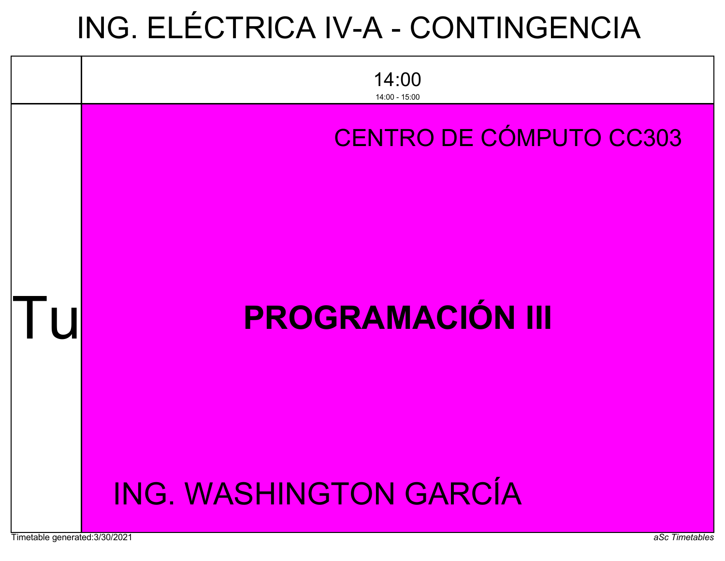## ING. ELÉCTRICA IV-A - CONTINGENCIA



#### CENTRO DE CÓMPUTO CC303

## PROGRAMACIÓN III

### ING. WASHINGTON GARCÍA

l U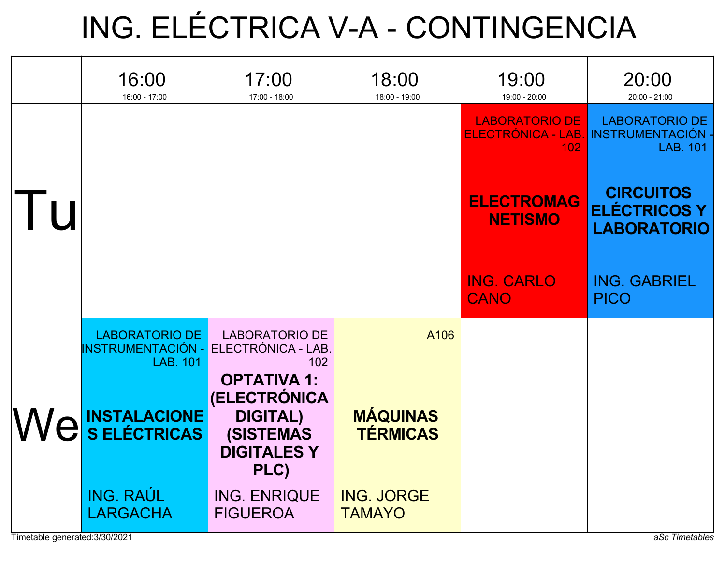## ING. ELÉCTRICA V-A - CONTINGENCIA

|    | 16:00<br>16:00 - 17:00                                               | 17:00<br>17:00 - 18:00                                                                                         | 18:00<br>18:00 - 19:00             | 19:00<br>19:00 - 20:00                             | 20:00<br>$20:00 - 21:00$                                           |
|----|----------------------------------------------------------------------|----------------------------------------------------------------------------------------------------------------|------------------------------------|----------------------------------------------------|--------------------------------------------------------------------|
|    |                                                                      |                                                                                                                |                                    | <b>LABORATORIO DE</b><br>ELECTRÓNICA - LAB.<br>102 | <b>LABORATORIO DE</b><br><b>INSTRUMENTACIÓN</b><br><b>LAB. 101</b> |
| Tu |                                                                      |                                                                                                                |                                    | <b>ELECTROMAG</b><br><b>NETISMO</b>                | <b>CIRCUITOS</b><br><b>ELÉCTRICOS Y</b><br><b>LABORATORIO</b>      |
|    |                                                                      |                                                                                                                |                                    | <b>ING. CARLO</b><br><b>CANO</b>                   | <b>ING. GABRIEL</b><br><b>PICO</b>                                 |
|    | <b>LABORATORIO DE</b><br><b>INSTRUMENTACIÓN -</b><br><b>LAB. 101</b> | <b>LABORATORIO DE</b><br>ELECTRÓNICA - LAB.<br>102                                                             | A106                               |                                                    |                                                                    |
|    | We SELECTRICAS                                                       | <b>OPTATIVA 1:</b><br><b>(ELECTRÓNICA</b><br><b>DIGITAL)</b><br><b>(SISTEMAS</b><br><b>DIGITALES Y</b><br>PLC) | <b>MÁQUINAS</b><br><b>TÉRMICAS</b> |                                                    |                                                                    |
|    | <b>ING. RAÚL</b><br><b>LARGACHA</b>                                  | <b>ING. ENRIQUE</b><br><b>FIGUEROA</b>                                                                         | <b>ING. JORGE</b><br><b>TAMAYO</b> |                                                    |                                                                    |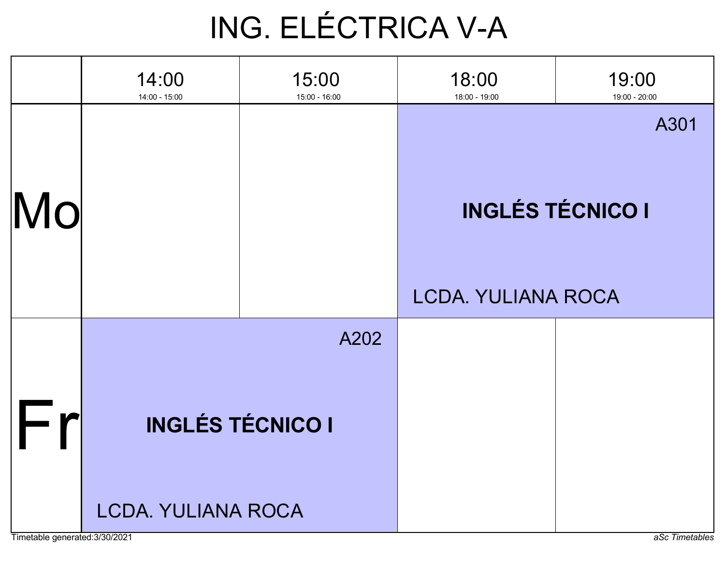## ING. ELÉCTRICA V-A

|    | 14:00<br>14:00 - 15:00    | 15:00<br>15:00 - 16:00  | 18:00<br>18:00 - 19:00    | 19:00<br>19:00 - 20:00  |
|----|---------------------------|-------------------------|---------------------------|-------------------------|
|    |                           |                         |                           | A301                    |
| MO |                           |                         | <b>LCDA. YULIANA ROCA</b> | <b>INGLÉS TÉCNICO I</b> |
|    |                           | A202                    |                           |                         |
|    |                           |                         |                           |                         |
|    |                           | <b>INGLÉS TÉCNICO I</b> |                           |                         |
|    | <b>LCDA. YULIANA ROCA</b> |                         |                           |                         |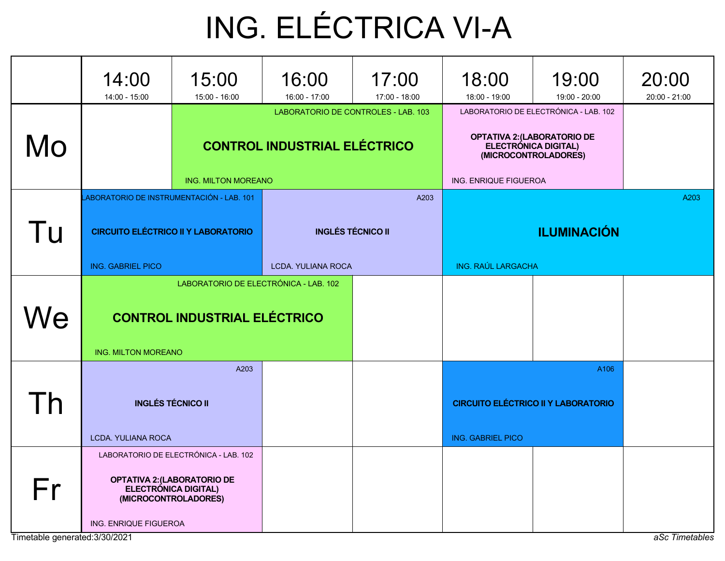# ING. ELÉCTRICA VI-A

|    | 14:00<br>14:00 - 15:00                       | 15:00<br>15:00 - 16:00                | 16:00<br>16:00 - 17:00    | 17:00<br>17:00 - 18:00              | 18:00<br>18:00 - 19:00                                                                               | 19:00<br>19:00 - 20:00 | 20:00<br>20:00 - 21:00 |  |
|----|----------------------------------------------|---------------------------------------|---------------------------|-------------------------------------|------------------------------------------------------------------------------------------------------|------------------------|------------------------|--|
|    |                                              |                                       |                           | LABORATORIO DE CONTROLES - LAB. 103 | LABORATORIO DE ELECTRÓNICA - LAB. 102<br><b>OPTATIVA 2: (LABORATORIO DE<br/>ELECTRÓNICA DIGITAL)</b> |                        |                        |  |
| Mo |                                              | <b>CONTROL INDUSTRIAL ELÉCTRICO</b>   |                           |                                     | (MICROCONTROLADORES)                                                                                 |                        |                        |  |
|    | LABORATORIO DE INSTRUMENTACIÓN - LAB. 101    | <b>ING. MILTON MOREANO</b>            |                           | A203                                | ING. ENRIQUE FIGUEROA<br>A203                                                                        |                        |                        |  |
| Tu | <b>CIRCUITO ELÉCTRICO II Y LABORATORIO</b>   |                                       | <b>INGLÉS TÉCNICO II</b>  |                                     | <b>ILUMINACIÓN</b>                                                                                   |                        |                        |  |
|    | <b>ING. GABRIEL PICO</b>                     |                                       | <b>LCDA. YULIANA ROCA</b> |                                     | ING. RAÚL LARGACHA                                                                                   |                        |                        |  |
|    |                                              | LABORATORIO DE ELECTRÓNICA - LAB. 102 |                           |                                     |                                                                                                      |                        |                        |  |
| We |                                              | <b>CONTROL INDUSTRIAL ELÉCTRICO</b>   |                           |                                     |                                                                                                      |                        |                        |  |
|    | <b>ING. MILTON MOREANO</b>                   |                                       |                           |                                     |                                                                                                      |                        |                        |  |
|    |                                              | A203                                  |                           |                                     |                                                                                                      | A106                   |                        |  |
|    | <b>INGLÉS TÉCNICO II</b>                     |                                       |                           |                                     | <b>CIRCUITO ELÉCTRICO II Y LABORATORIO</b>                                                           |                        |                        |  |
|    | <b>LCDA. YULIANA ROCA</b>                    |                                       |                           |                                     | <b>ING. GABRIEL PICO</b>                                                                             |                        |                        |  |
|    |                                              | LABORATORIO DE ELECTRÓNICA - LAB. 102 |                           |                                     |                                                                                                      |                        |                        |  |
| Fr | ELECTRÓNICA DIGITAL)<br>(MICROCONTROLADORES) | <b>OPTATIVA 2: (LABORATORIO DE</b>    |                           |                                     |                                                                                                      |                        |                        |  |
|    | ING. ENRIQUE FIGUEROA                        |                                       |                           |                                     |                                                                                                      |                        |                        |  |

Timetable generated:3/30/2021 and and the state of the state of the state of the state of the state of the state of the state of the state of the state of the state of the state of the state of the state of the state of th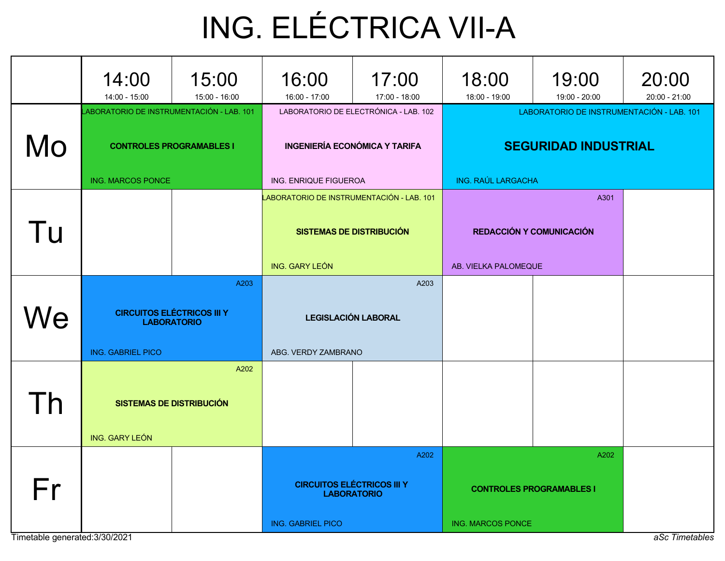# ING. ELÉCTRICA VII-A

|    | 14:00<br>14:00 - 15:00                                                                                   | 15:00<br>15:00 - 16:00                  | 16:00<br>16:00 - 17:00                                                                                 | 17:00<br>17:00 - 18:00 | 18:00<br>18:00 - 19:00                                                                         | 19:00<br>19:00 - 20:00 | 20:00<br>20:00 - 21:00 |
|----|----------------------------------------------------------------------------------------------------------|-----------------------------------------|--------------------------------------------------------------------------------------------------------|------------------------|------------------------------------------------------------------------------------------------|------------------------|------------------------|
| Mo | LABORATORIO DE INSTRUMENTACIÓN - LAB. 101<br><b>CONTROLES PROGRAMABLES I</b><br><b>ING. MARCOS PONCE</b> |                                         | LABORATORIO DE ELECTRÓNICA - LAB. 102<br><b>INGENIERÍA ECONÓMICA Y TARIFA</b><br>ING. ENRIQUE FIGUEROA |                        | LABORATORIO DE INSTRUMENTACIÓN - LAB. 101<br><b>SEGURIDAD INDUSTRIAL</b><br>ING. RAÚL LARGACHA |                        |                        |
| Tu |                                                                                                          |                                         | LABORATORIO DE INSTRUMENTACIÓN - LAB. 101<br><b>SISTEMAS DE DISTRIBUCIÓN</b><br>ING. GARY LEÓN         |                        | <b>REDACCIÓN Y COMUNICACIÓN</b><br>AB. VIELKA PALOMEQUE                                        |                        |                        |
| Nе | A203<br><b>CIRCUITOS ELÉCTRICOS III Y</b><br><b>LABORATORIO</b><br><b>ING. GABRIEL PICO</b>              |                                         | A203<br><b>LEGISLACIÓN LABORAL</b><br>ABG. VERDY ZAMBRANO                                              |                        |                                                                                                |                        |                        |
| h  | ING. GARY LEÓN                                                                                           | A202<br><b>SISTEMAS DE DISTRIBUCIÓN</b> |                                                                                                        |                        |                                                                                                |                        |                        |
| Fr |                                                                                                          |                                         | A202<br><b>CIRCUITOS ELÉCTRICOS III Y</b><br><b>LABORATORIO</b><br><b>ING. GABRIEL PICO</b>            |                        | <b>CONTROLES PROGRAMABLES I</b><br><b>ING. MARCOS PONCE</b>                                    |                        |                        |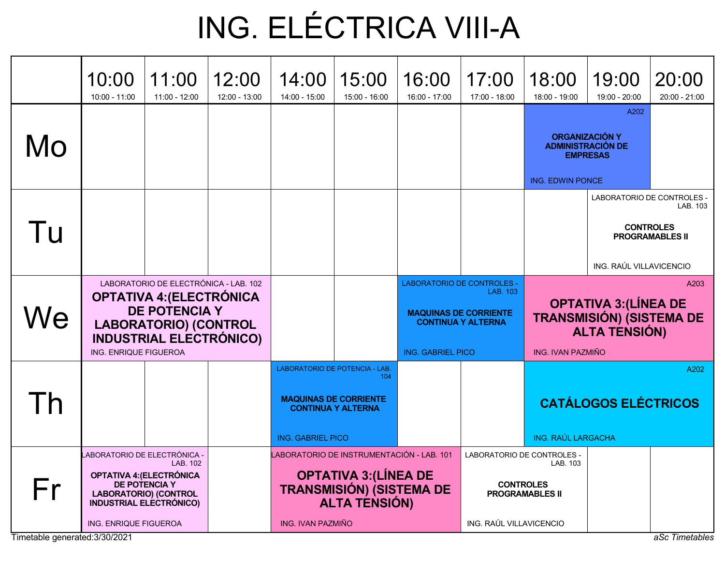## ING. ELÉCTRICA VIII-A

|           | 10:00<br>$10:00 - 11:00$                                                                                                                                                                           | 11:00<br>$11:00 - 12:00$ | 12:00<br>12:00 - 13:00                                                                                                                                    | 14:00<br>14:00 - 15:00   | 15:00<br>15:00 - 16:00                                                                                                                                             | 16:00<br>16:00 - 17:00                                                                                          | 17:00<br>17:00 - 18:00 | 18:00<br>18:00 - 19:00                                                                          | 19:00<br>19:00 - 20:00                                                       | 20:00<br>$20:00 - 21:00$                               |
|-----------|----------------------------------------------------------------------------------------------------------------------------------------------------------------------------------------------------|--------------------------|-----------------------------------------------------------------------------------------------------------------------------------------------------------|--------------------------|--------------------------------------------------------------------------------------------------------------------------------------------------------------------|-----------------------------------------------------------------------------------------------------------------|------------------------|-------------------------------------------------------------------------------------------------|------------------------------------------------------------------------------|--------------------------------------------------------|
| Mo        |                                                                                                                                                                                                    |                          |                                                                                                                                                           |                          |                                                                                                                                                                    |                                                                                                                 |                        | <b>ING. EDWIN PONCE</b>                                                                         | A202<br><b>ORGANIZACIÓN Y</b><br><b>ADMINISTRACIÓN DE</b><br><b>EMPRESAS</b> |                                                        |
| Tu        |                                                                                                                                                                                                    |                          |                                                                                                                                                           |                          |                                                                                                                                                                    |                                                                                                                 |                        |                                                                                                 | LABORATORIO DE CONTROLES -<br>ING. RAÚL VILLAVICENCIO                        | LAB. 103<br><b>CONTROLES</b><br><b>PROGRAMABLES II</b> |
| We        | LABORATORIO DE ELECTRÓNICA - LAB. 102<br><b>OPTATIVA 4: (ELECTRÓNICA</b><br><b>DE POTENCIA Y</b><br><b>LABORATORIO) (CONTROL</b><br><b>INDUSTRIAL ELECTRÓNICO)</b><br><b>ING. ENRIQUE FIGUEROA</b> |                          |                                                                                                                                                           |                          | <b>LABORATORIO DE CONTROLES -</b><br>LAB. 103<br><b>MAQUINAS DE CORRIENTE</b><br><b>CONTINUA Y ALTERNA</b><br><b>ING. IVAN PAZMIÑO</b><br><b>ING. GABRIEL PICO</b> |                                                                                                                 |                        | A203<br><b>OPTATIVA 3: (LÍNEA DE</b><br><b>TRANSMISIÓN) (SISTEMA DE</b><br><b>ALTA TENSIÓN)</b> |                                                                              |                                                        |
| $\bigcap$ |                                                                                                                                                                                                    |                          |                                                                                                                                                           | <b>ING. GABRIEL PICO</b> | LABORATORIO DE POTENCIA - LAB.<br>104<br><b>MAQUINAS DE CORRIENTE</b><br><b>CONTINUA Y ALTERNA</b>                                                                 |                                                                                                                 |                        | <b>ING. RAÚL LARGACHA</b>                                                                       | <b>CATÁLOGOS ELÉCTRICOS</b>                                                  | A202                                                   |
| Fr        | ABORATORIO DE ELECTRÓNICA -<br>LAB, 102<br><b>OPTATIVA 4: (ELECTRÓNICA</b><br><b>DE POTENCIA Y</b><br><b>LABORATORIO) (CONTROL</b><br><b>INDUSTRIAL ELECTRÓNICO)</b><br>ING. ENRIQUE FIGUEROA      |                          | LABORATORIO DE INSTRUMENTACIÓN - LAB. 101<br><b>OPTATIVA 3: (LÍNEA DE</b><br><b>TRANSMISIÓN) (SISTEMA DE</b><br><b>ALTA TENSIÓN)</b><br>ING. IVAN PAZMIÑO |                          |                                                                                                                                                                    | LABORATORIO DE CONTROLES -<br>LAB. 103<br><b>CONTROLES</b><br><b>PROGRAMABLES II</b><br>ING. RAÚL VILLAVICENCIO |                        |                                                                                                 |                                                                              |                                                        |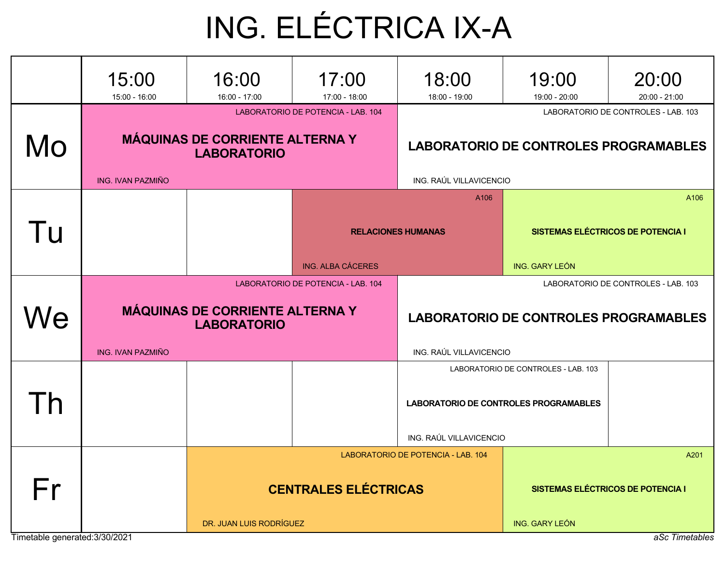## ING. ELÉCTRICA IX-A

|    | 15:00<br>15:00 - 16:00                                                                             | 16:00<br>16:00 - 17:00                                       | 17:00<br>17:00 - 18:00             | 18:00<br>18:00 - 19:00                                                              | 19:00<br>19:00 - 20:00            | 20:00<br>20:00 - 21:00 |  |
|----|----------------------------------------------------------------------------------------------------|--------------------------------------------------------------|------------------------------------|-------------------------------------------------------------------------------------|-----------------------------------|------------------------|--|
| Mo |                                                                                                    | <b>MÁQUINAS DE CORRIENTE ALTERNA Y</b><br><b>LABORATORIO</b> | LABORATORIO DE POTENCIA - LAB. 104 | LABORATORIO DE CONTROLES - LAB. 103<br><b>LABORATORIO DE CONTROLES PROGRAMABLES</b> |                                   |                        |  |
|    | ING. IVAN PAZMIÑO                                                                                  |                                                              |                                    | ING. RAÚL VILLAVICENCIO<br>A106                                                     |                                   | A106                   |  |
| Tu |                                                                                                    |                                                              |                                    | <b>RELACIONES HUMANAS</b>                                                           | SISTEMAS ELÉCTRICOS DE POTENCIA I |                        |  |
|    |                                                                                                    |                                                              | ING. ALBA CÁCERES                  |                                                                                     | <b>ING. GARY LEÓN</b>             |                        |  |
| Ve | LABORATORIO DE POTENCIA - LAB. 104<br><b>MÁQUINAS DE CORRIENTE ALTERNA Y</b><br><b>LABORATORIO</b> |                                                              |                                    | LABORATORIO DE CONTROLES - LAB. 103<br><b>LABORATORIO DE CONTROLES PROGRAMABLES</b> |                                   |                        |  |
|    | <b>ING. IVAN PAZMIÑO</b>                                                                           |                                                              |                                    | ING. RAÚL VILLAVICENCIO<br>LABORATORIO DE CONTROLES - LAB. 103                      |                                   |                        |  |
|    |                                                                                                    |                                                              |                                    | LABORATORIO DE CONTROLES PROGRAMABLES<br>ING. RAÚL VILLAVICENCIO                    |                                   |                        |  |
|    |                                                                                                    |                                                              |                                    | LABORATORIO DE POTENCIA - LAB. 104                                                  |                                   | A201                   |  |
| Fr |                                                                                                    |                                                              | <b>CENTRALES ELÉCTRICAS</b>        | <b>SISTEMAS ELÉCTRICOS DE POTENCIA I</b>                                            |                                   |                        |  |
|    | Timetable generated: 3/30/2021                                                                     | DR. JUAN LUIS RODRÍGUEZ                                      |                                    | <b>ING. GARY LEÓN</b>                                                               | aSc Timetables                    |                        |  |